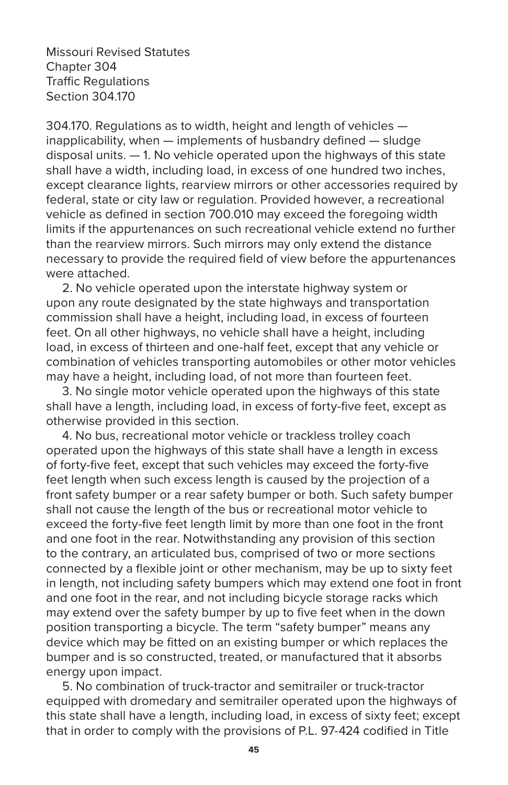Missouri Revised Statutes Chapter 304 Traffic Regulations Section 304.170

304.170. Regulations as to width, height and length of vehicles inapplicability, when — implements of husbandry defined — sludge disposal units. — 1. No vehicle operated upon the highways of this state shall have a width, including load, in excess of one hundred two inches, except clearance lights, rearview mirrors or other accessories required by federal, state or city law or regulation. Provided however, a recreational vehicle as defined in section 700.010 may exceed the foregoing width limits if the appurtenances on such recreational vehicle extend no further than the rearview mirrors. Such mirrors may only extend the distance necessary to provide the required field of view before the appurtenances were attached.

 2. No vehicle operated upon the interstate highway system or upon any route designated by the state highways and transportation commission shall have a height, including load, in excess of fourteen feet. On all other highways, no vehicle shall have a height, including load, in excess of thirteen and one-half feet, except that any vehicle or combination of vehicles transporting automobiles or other motor vehicles may have a height, including load, of not more than fourteen feet.

 3. No single motor vehicle operated upon the highways of this state shall have a length, including load, in excess of forty-five feet, except as otherwise provided in this section.

 4. No bus, recreational motor vehicle or trackless trolley coach operated upon the highways of this state shall have a length in excess of forty-five feet, except that such vehicles may exceed the forty-five feet length when such excess length is caused by the projection of a front safety bumper or a rear safety bumper or both. Such safety bumper shall not cause the length of the bus or recreational motor vehicle to exceed the forty-five feet length limit by more than one foot in the front and one foot in the rear. Notwithstanding any provision of this section to the contrary, an articulated bus, comprised of two or more sections connected by a flexible joint or other mechanism, may be up to sixty feet in length, not including safety bumpers which may extend one foot in front and one foot in the rear, and not including bicycle storage racks which may extend over the safety bumper by up to five feet when in the down position transporting a bicycle. The term "safety bumper" means any device which may be fitted on an existing bumper or which replaces the bumper and is so constructed, treated, or manufactured that it absorbs energy upon impact.

 5. No combination of truck-tractor and semitrailer or truck-tractor equipped with dromedary and semitrailer operated upon the highways of this state shall have a length, including load, in excess of sixty feet; except that in order to comply with the provisions of P.L. 97-424 codified in Title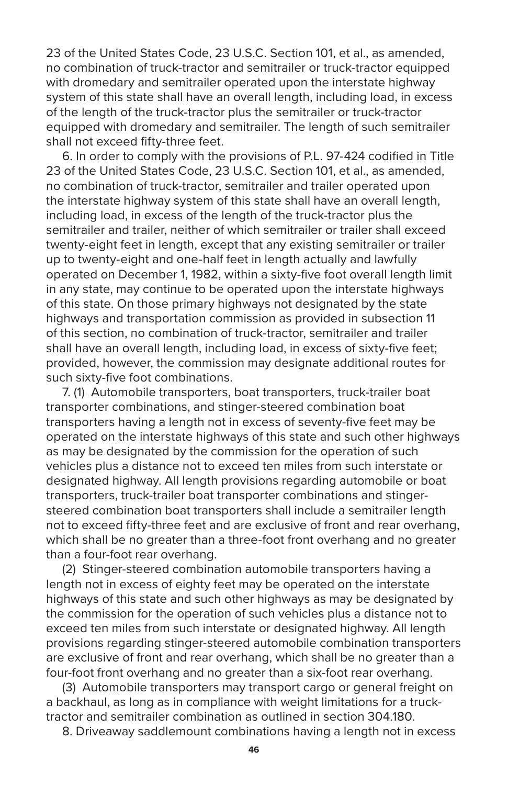23 of the United States Code, 23 U.S.C. Section 101, et al., as amended, no combination of truck-tractor and semitrailer or truck-tractor equipped with dromedary and semitrailer operated upon the interstate highway system of this state shall have an overall length, including load, in excess of the length of the truck-tractor plus the semitrailer or truck-tractor equipped with dromedary and semitrailer. The length of such semitrailer shall not exceed fifty-three feet.

 6. In order to comply with the provisions of P.L. 97-424 codified in Title 23 of the United States Code, 23 U.S.C. Section 101, et al., as amended, no combination of truck-tractor, semitrailer and trailer operated upon the interstate highway system of this state shall have an overall length, including load, in excess of the length of the truck-tractor plus the semitrailer and trailer, neither of which semitrailer or trailer shall exceed twenty-eight feet in length, except that any existing semitrailer or trailer up to twenty-eight and one-half feet in length actually and lawfully operated on December 1, 1982, within a sixty-five foot overall length limit in any state, may continue to be operated upon the interstate highways of this state. On those primary highways not designated by the state highways and transportation commission as provided in subsection 11 of this section, no combination of truck-tractor, semitrailer and trailer shall have an overall length, including load, in excess of sixty-five feet; provided, however, the commission may designate additional routes for such sixty-five foot combinations.

 7. (1) Automobile transporters, boat transporters, truck-trailer boat transporter combinations, and stinger-steered combination boat transporters having a length not in excess of seventy-five feet may be operated on the interstate highways of this state and such other highways as may be designated by the commission for the operation of such vehicles plus a distance not to exceed ten miles from such interstate or designated highway. All length provisions regarding automobile or boat transporters, truck-trailer boat transporter combinations and stingersteered combination boat transporters shall include a semitrailer length not to exceed fifty-three feet and are exclusive of front and rear overhang, which shall be no greater than a three-foot front overhang and no greater than a four-foot rear overhang.

 (2) Stinger-steered combination automobile transporters having a length not in excess of eighty feet may be operated on the interstate highways of this state and such other highways as may be designated by the commission for the operation of such vehicles plus a distance not to exceed ten miles from such interstate or designated highway. All length provisions regarding stinger-steered automobile combination transporters are exclusive of front and rear overhang, which shall be no greater than a four-foot front overhang and no greater than a six-foot rear overhang.

 (3) Automobile transporters may transport cargo or general freight on a backhaul, as long as in compliance with weight limitations for a trucktractor and semitrailer combination as outlined in section 304.180.

8. Driveaway saddlemount combinations having a length not in excess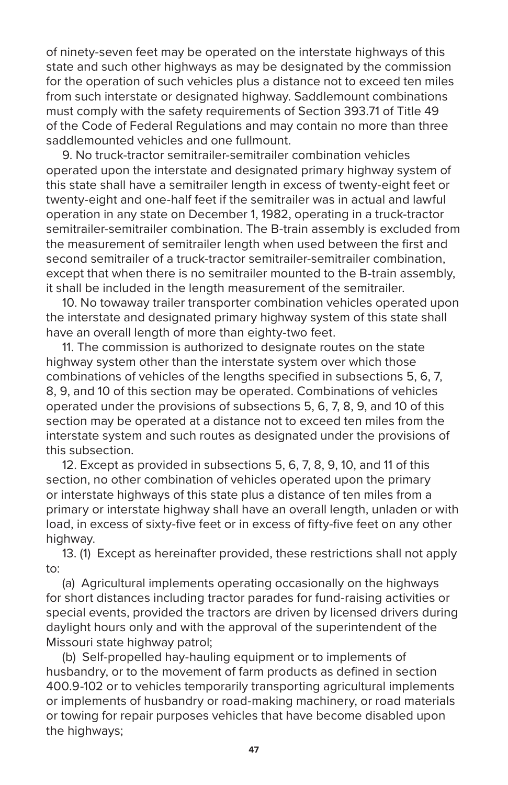of ninety-seven feet may be operated on the interstate highways of this state and such other highways as may be designated by the commission for the operation of such vehicles plus a distance not to exceed ten miles from such interstate or designated highway. Saddlemount combinations must comply with the safety requirements of Section 393.71 of Title 49 of the Code of Federal Regulations and may contain no more than three saddlemounted vehicles and one fullmount.

 9. No truck-tractor semitrailer-semitrailer combination vehicles operated upon the interstate and designated primary highway system of this state shall have a semitrailer length in excess of twenty-eight feet or twenty-eight and one-half feet if the semitrailer was in actual and lawful operation in any state on December 1, 1982, operating in a truck-tractor semitrailer-semitrailer combination. The B-train assembly is excluded from the measurement of semitrailer length when used between the first and second semitrailer of a truck-tractor semitrailer-semitrailer combination, except that when there is no semitrailer mounted to the B-train assembly, it shall be included in the length measurement of the semitrailer.

 10. No towaway trailer transporter combination vehicles operated upon the interstate and designated primary highway system of this state shall have an overall length of more than eighty-two feet.

 11. The commission is authorized to designate routes on the state highway system other than the interstate system over which those combinations of vehicles of the lengths specified in subsections 5, 6, 7, 8, 9, and 10 of this section may be operated. Combinations of vehicles operated under the provisions of subsections 5, 6, 7, 8, 9, and 10 of this section may be operated at a distance not to exceed ten miles from the interstate system and such routes as designated under the provisions of this subsection.

 12. Except as provided in subsections 5, 6, 7, 8, 9, 10, and 11 of this section, no other combination of vehicles operated upon the primary or interstate highways of this state plus a distance of ten miles from a primary or interstate highway shall have an overall length, unladen or with load, in excess of sixty-five feet or in excess of fifty-five feet on any other highway.

 13. (1) Except as hereinafter provided, these restrictions shall not apply to:

 (a) Agricultural implements operating occasionally on the highways for short distances including tractor parades for fund-raising activities or special events, provided the tractors are driven by licensed drivers during daylight hours only and with the approval of the superintendent of the Missouri state highway patrol;

 (b) Self-propelled hay-hauling equipment or to implements of husbandry, or to the movement of farm products as defined in section 400.9-102 or to vehicles temporarily transporting agricultural implements or implements of husbandry or road-making machinery, or road materials or towing for repair purposes vehicles that have become disabled upon the highways;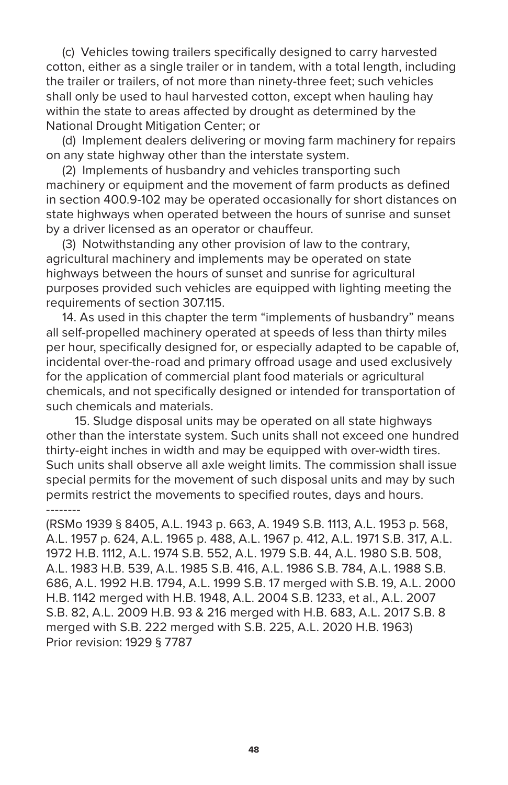(c) Vehicles towing trailers specifically designed to carry harvested cotton, either as a single trailer or in tandem, with a total length, including the trailer or trailers, of not more than ninety-three feet; such vehicles shall only be used to haul harvested cotton, except when hauling hay within the state to areas affected by drought as determined by the National Drought Mitigation Center; or

 (d) Implement dealers delivering or moving farm machinery for repairs on any state highway other than the interstate system.

 (2) Implements of husbandry and vehicles transporting such machinery or equipment and the movement of farm products as defined in section 400.9-102 may be operated occasionally for short distances on state highways when operated between the hours of sunrise and sunset by a driver licensed as an operator or chauffeur.

 (3) Notwithstanding any other provision of law to the contrary, agricultural machinery and implements may be operated on state highways between the hours of sunset and sunrise for agricultural purposes provided such vehicles are equipped with lighting meeting the requirements of section 307.115.

 14. As used in this chapter the term "implements of husbandry" means all self-propelled machinery operated at speeds of less than thirty miles per hour, specifically designed for, or especially adapted to be capable of, incidental over-the-road and primary offroad usage and used exclusively for the application of commercial plant food materials or agricultural chemicals, and not specifically designed or intended for transportation of such chemicals and materials.

 15. Sludge disposal units may be operated on all state highways other than the interstate system. Such units shall not exceed one hundred thirty-eight inches in width and may be equipped with over-width tires. Such units shall observe all axle weight limits. The commission shall issue special permits for the movement of such disposal units and may by such permits restrict the movements to specified routes, days and hours. --------

(RSMo 1939 § 8405, A.L. 1943 p. 663, A. 1949 S.B. 1113, A.L. 1953 p. 568, A.L. 1957 p. 624, A.L. 1965 p. 488, A.L. 1967 p. 412, A.L. 1971 S.B. 317, A.L. 1972 H.B. 1112, A.L. 1974 S.B. 552, A.L. 1979 S.B. 44, A.L. 1980 S.B. 508, A.L. 1983 H.B. 539, A.L. 1985 S.B. 416, A.L. 1986 S.B. 784, A.L. 1988 S.B. 686, A.L. 1992 H.B. 1794, A.L. 1999 S.B. 17 merged with S.B. 19, A.L. 2000 H.B. 1142 merged with H.B. 1948, A.L. 2004 S.B. 1233, et al., A.L. 2007 S.B. 82, A.L. 2009 H.B. 93 & 216 merged with H.B. 683, A.L. 2017 S.B. 8 merged with S.B. 222 merged with S.B. 225, A.L. 2020 H.B. 1963) Prior revision: 1929 § 7787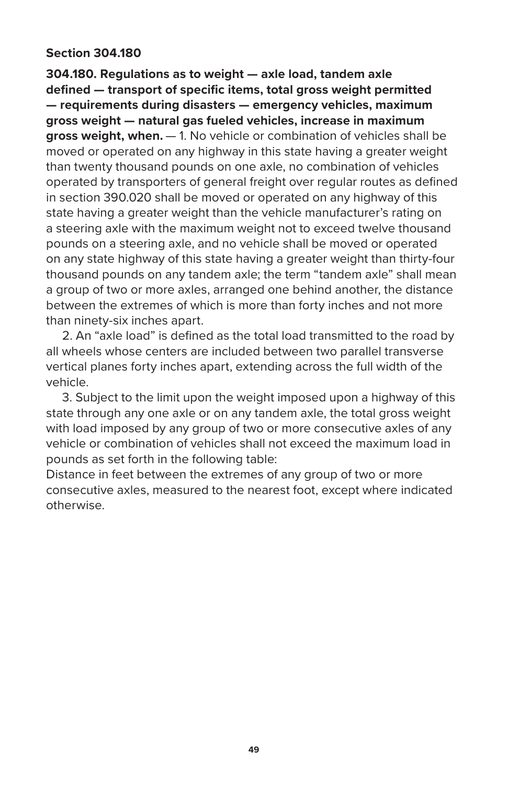## **Section 304.180**

**304.180. Regulations as to weight — axle load, tandem axle defined — transport of specific items, total gross weight permitted — requirements during disasters — emergency vehicles, maximum gross weight — natural gas fueled vehicles, increase in maximum gross weight, when.** — 1. No vehicle or combination of vehicles shall be moved or operated on any highway in this state having a greater weight than twenty thousand pounds on one axle, no combination of vehicles operated by transporters of general freight over regular routes as defined in section 390.020 shall be moved or operated on any highway of this state having a greater weight than the vehicle manufacturer's rating on a steering axle with the maximum weight not to exceed twelve thousand pounds on a steering axle, and no vehicle shall be moved or operated on any state highway of this state having a greater weight than thirty-four thousand pounds on any tandem axle; the term "tandem axle" shall mean a group of two or more axles, arranged one behind another, the distance between the extremes of which is more than forty inches and not more than ninety-six inches apart.

 2. An "axle load" is defined as the total load transmitted to the road by all wheels whose centers are included between two parallel transverse vertical planes forty inches apart, extending across the full width of the vehicle.

 3. Subject to the limit upon the weight imposed upon a highway of this state through any one axle or on any tandem axle, the total gross weight with load imposed by any group of two or more consecutive axles of any vehicle or combination of vehicles shall not exceed the maximum load in pounds as set forth in the following table:

Distance in feet between the extremes of any group of two or more consecutive axles, measured to the nearest foot, except where indicated otherwise.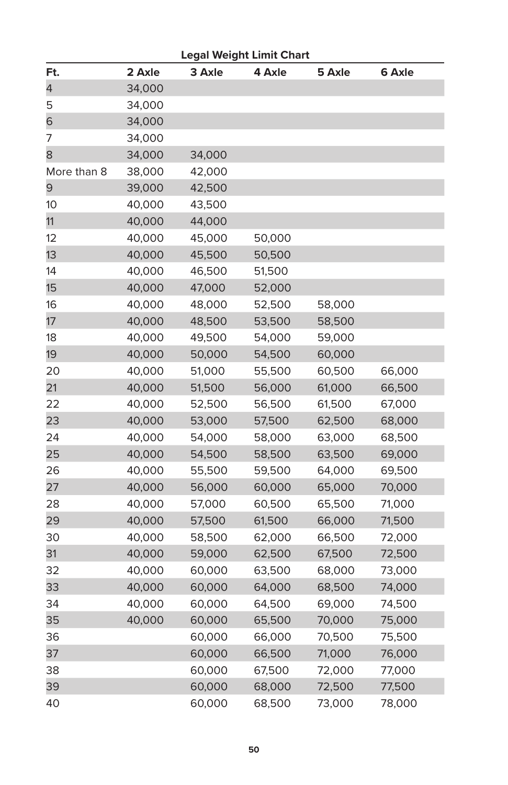| <b>Legal Weight Limit Chart</b> |        |        |        |        |        |  |  |  |  |
|---------------------------------|--------|--------|--------|--------|--------|--|--|--|--|
| Ft.                             | 2 Axle | 3 Axle | 4 Axle | 5 Axle | 6 Axle |  |  |  |  |
| 4                               | 34,000 |        |        |        |        |  |  |  |  |
| 5                               | 34,000 |        |        |        |        |  |  |  |  |
| 6                               | 34,000 |        |        |        |        |  |  |  |  |
| 7                               | 34,000 |        |        |        |        |  |  |  |  |
| 8                               | 34,000 | 34,000 |        |        |        |  |  |  |  |
| More than 8                     | 38,000 | 42,000 |        |        |        |  |  |  |  |
| 9                               | 39,000 | 42,500 |        |        |        |  |  |  |  |
| 10                              | 40,000 | 43,500 |        |        |        |  |  |  |  |
| 11                              | 40,000 | 44,000 |        |        |        |  |  |  |  |
| 12                              | 40,000 | 45,000 | 50,000 |        |        |  |  |  |  |
| 13                              | 40,000 | 45,500 | 50,500 |        |        |  |  |  |  |
| 14                              | 40,000 | 46,500 | 51,500 |        |        |  |  |  |  |
| 15                              | 40,000 | 47,000 | 52,000 |        |        |  |  |  |  |
| 16                              | 40,000 | 48,000 | 52,500 | 58,000 |        |  |  |  |  |
| 17                              | 40,000 | 48,500 | 53,500 | 58,500 |        |  |  |  |  |
| 18                              | 40,000 | 49,500 | 54,000 | 59,000 |        |  |  |  |  |
| 19                              | 40,000 | 50,000 | 54,500 | 60,000 |        |  |  |  |  |
| 20                              | 40,000 | 51,000 | 55,500 | 60,500 | 66,000 |  |  |  |  |
| 21                              | 40,000 | 51,500 | 56,000 | 61,000 | 66,500 |  |  |  |  |
| 22                              | 40,000 | 52,500 | 56,500 | 61,500 | 67,000 |  |  |  |  |
| 23                              | 40,000 | 53,000 | 57,500 | 62,500 | 68,000 |  |  |  |  |
| 24                              | 40,000 | 54,000 | 58,000 | 63,000 | 68,500 |  |  |  |  |
| 25                              | 40,000 | 54,500 | 58,500 | 63,500 | 69,000 |  |  |  |  |
| 26                              | 40,000 | 55,500 | 59,500 | 64,000 | 69,500 |  |  |  |  |
| 27                              | 40,000 | 56,000 | 60,000 | 65,000 | 70,000 |  |  |  |  |
| 28                              | 40,000 | 57,000 | 60,500 | 65,500 | 71,000 |  |  |  |  |
| 29                              | 40,000 | 57,500 | 61,500 | 66,000 | 71,500 |  |  |  |  |
| 30                              | 40,000 | 58,500 | 62,000 | 66,500 | 72,000 |  |  |  |  |
| 31                              | 40,000 | 59,000 | 62,500 | 67,500 | 72,500 |  |  |  |  |
| 32                              | 40,000 | 60,000 | 63,500 | 68,000 | 73,000 |  |  |  |  |
| 33                              | 40,000 | 60,000 | 64,000 | 68,500 | 74,000 |  |  |  |  |
| 34                              | 40,000 | 60,000 | 64,500 | 69,000 | 74,500 |  |  |  |  |
| 35                              | 40,000 | 60,000 | 65,500 | 70,000 | 75,000 |  |  |  |  |
| 36                              |        | 60,000 | 66,000 | 70,500 | 75,500 |  |  |  |  |
| 37                              |        | 60,000 | 66,500 | 71,000 | 76,000 |  |  |  |  |
| 38                              |        | 60,000 | 67,500 | 72,000 | 77,000 |  |  |  |  |
| 39                              |        | 60,000 | 68,000 | 72,500 | 77,500 |  |  |  |  |
| 40                              |        | 60,000 | 68,500 | 73,000 | 78,000 |  |  |  |  |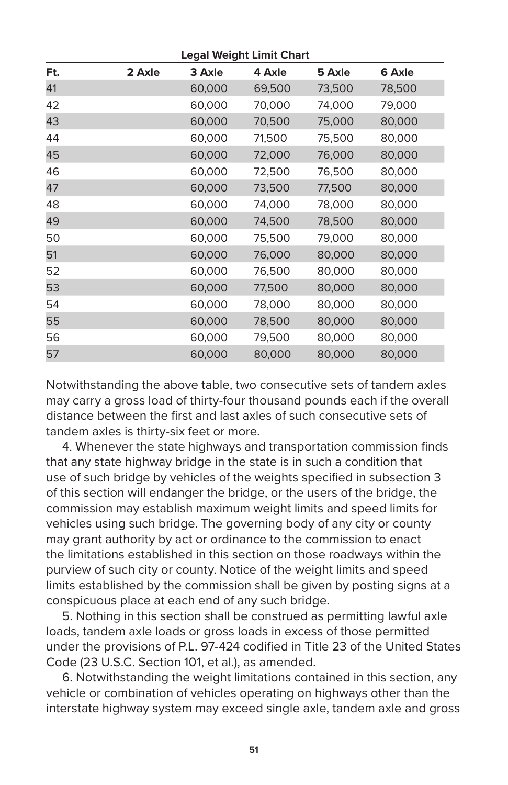| <b>Legal Weight Limit Chart</b> |        |        |        |        |        |  |  |  |  |
|---------------------------------|--------|--------|--------|--------|--------|--|--|--|--|
| Ft.                             | 2 Axle | 3 Axle | 4 Axle | 5 Axle | 6 Axle |  |  |  |  |
| 41                              |        | 60,000 | 69,500 | 73,500 | 78,500 |  |  |  |  |
| 42                              |        | 60,000 | 70,000 | 74,000 | 79,000 |  |  |  |  |
| 43                              |        | 60,000 | 70,500 | 75,000 | 80,000 |  |  |  |  |
| 44                              |        | 60,000 | 71,500 | 75,500 | 80,000 |  |  |  |  |
| 45                              |        | 60,000 | 72,000 | 76,000 | 80,000 |  |  |  |  |
| 46                              |        | 60,000 | 72,500 | 76,500 | 80,000 |  |  |  |  |
| 47                              |        | 60,000 | 73,500 | 77,500 | 80,000 |  |  |  |  |
| 48                              |        | 60,000 | 74,000 | 78,000 | 80,000 |  |  |  |  |
| 49                              |        | 60,000 | 74,500 | 78,500 | 80,000 |  |  |  |  |
| 50                              |        | 60,000 | 75,500 | 79,000 | 80,000 |  |  |  |  |
| 51                              |        | 60,000 | 76,000 | 80,000 | 80,000 |  |  |  |  |
| 52                              |        | 60,000 | 76,500 | 80,000 | 80,000 |  |  |  |  |
| 53                              |        | 60,000 | 77,500 | 80,000 | 80,000 |  |  |  |  |
| 54                              |        | 60,000 | 78,000 | 80,000 | 80,000 |  |  |  |  |
| 55                              |        | 60,000 | 78,500 | 80,000 | 80,000 |  |  |  |  |
| 56                              |        | 60,000 | 79,500 | 80,000 | 80,000 |  |  |  |  |
| 57                              |        | 60,000 | 80,000 | 80,000 | 80,000 |  |  |  |  |
|                                 |        |        |        |        |        |  |  |  |  |

Notwithstanding the above table, two consecutive sets of tandem axles may carry a gross load of thirty-four thousand pounds each if the overall distance between the first and last axles of such consecutive sets of tandem axles is thirty-six feet or more.

 4. Whenever the state highways and transportation commission finds that any state highway bridge in the state is in such a condition that use of such bridge by vehicles of the weights specified in subsection 3 of this section will endanger the bridge, or the users of the bridge, the commission may establish maximum weight limits and speed limits for vehicles using such bridge. The governing body of any city or county may grant authority by act or ordinance to the commission to enact the limitations established in this section on those roadways within the purview of such city or county. Notice of the weight limits and speed limits established by the commission shall be given by posting signs at a conspicuous place at each end of any such bridge.

 5. Nothing in this section shall be construed as permitting lawful axle loads, tandem axle loads or gross loads in excess of those permitted under the provisions of P.L. 97-424 codified in Title 23 of the United States Code (23 U.S.C. Section 101, et al.), as amended.

 6. Notwithstanding the weight limitations contained in this section, any vehicle or combination of vehicles operating on highways other than the interstate highway system may exceed single axle, tandem axle and gross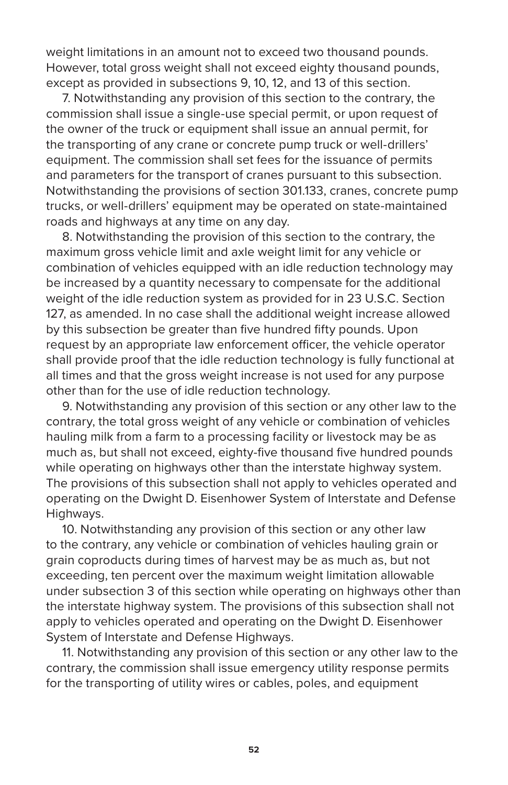weight limitations in an amount not to exceed two thousand pounds. However, total gross weight shall not exceed eighty thousand pounds, except as provided in subsections 9, 10, 12, and 13 of this section.

 7. Notwithstanding any provision of this section to the contrary, the commission shall issue a single-use special permit, or upon request of the owner of the truck or equipment shall issue an annual permit, for the transporting of any crane or concrete pump truck or well-drillers' equipment. The commission shall set fees for the issuance of permits and parameters for the transport of cranes pursuant to this subsection. Notwithstanding the provisions of section 301.133, cranes, concrete pump trucks, or well-drillers' equipment may be operated on state-maintained roads and highways at any time on any day.

 8. Notwithstanding the provision of this section to the contrary, the maximum gross vehicle limit and axle weight limit for any vehicle or combination of vehicles equipped with an idle reduction technology may be increased by a quantity necessary to compensate for the additional weight of the idle reduction system as provided for in 23 U.S.C. Section 127, as amended. In no case shall the additional weight increase allowed by this subsection be greater than five hundred fifty pounds. Upon request by an appropriate law enforcement officer, the vehicle operator shall provide proof that the idle reduction technology is fully functional at all times and that the gross weight increase is not used for any purpose other than for the use of idle reduction technology.

 9. Notwithstanding any provision of this section or any other law to the contrary, the total gross weight of any vehicle or combination of vehicles hauling milk from a farm to a processing facility or livestock may be as much as, but shall not exceed, eighty-five thousand five hundred pounds while operating on highways other than the interstate highway system. The provisions of this subsection shall not apply to vehicles operated and operating on the Dwight D. Eisenhower System of Interstate and Defense Highways.

 10. Notwithstanding any provision of this section or any other law to the contrary, any vehicle or combination of vehicles hauling grain or grain coproducts during times of harvest may be as much as, but not exceeding, ten percent over the maximum weight limitation allowable under subsection 3 of this section while operating on highways other than the interstate highway system. The provisions of this subsection shall not apply to vehicles operated and operating on the Dwight D. Eisenhower System of Interstate and Defense Highways.

 11. Notwithstanding any provision of this section or any other law to the contrary, the commission shall issue emergency utility response permits for the transporting of utility wires or cables, poles, and equipment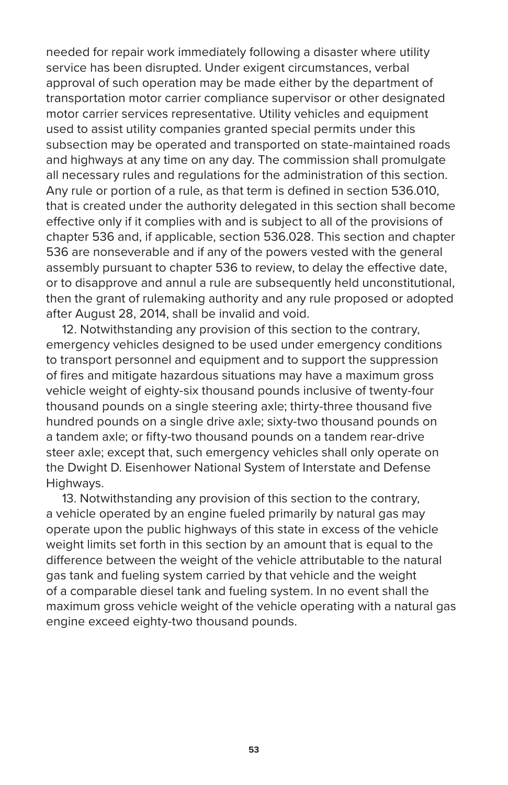needed for repair work immediately following a disaster where utility service has been disrupted. Under exigent circumstances, verbal approval of such operation may be made either by the department of transportation motor carrier compliance supervisor or other designated motor carrier services representative. Utility vehicles and equipment used to assist utility companies granted special permits under this subsection may be operated and transported on state-maintained roads and highways at any time on any day. The commission shall promulgate all necessary rules and regulations for the administration of this section. Any rule or portion of a rule, as that term is defined in section 536.010, that is created under the authority delegated in this section shall become effective only if it complies with and is subject to all of the provisions of chapter 536 and, if applicable, section 536.028. This section and chapter 536 are nonseverable and if any of the powers vested with the general assembly pursuant to chapter 536 to review, to delay the effective date, or to disapprove and annul a rule are subsequently held unconstitutional, then the grant of rulemaking authority and any rule proposed or adopted after August 28, 2014, shall be invalid and void.

 12. Notwithstanding any provision of this section to the contrary, emergency vehicles designed to be used under emergency conditions to transport personnel and equipment and to support the suppression of fires and mitigate hazardous situations may have a maximum gross vehicle weight of eighty-six thousand pounds inclusive of twenty-four thousand pounds on a single steering axle; thirty-three thousand five hundred pounds on a single drive axle; sixty-two thousand pounds on a tandem axle; or fifty-two thousand pounds on a tandem rear-drive steer axle; except that, such emergency vehicles shall only operate on the Dwight D. Eisenhower National System of Interstate and Defense Highways.

 13. Notwithstanding any provision of this section to the contrary, a vehicle operated by an engine fueled primarily by natural gas may operate upon the public highways of this state in excess of the vehicle weight limits set forth in this section by an amount that is equal to the difference between the weight of the vehicle attributable to the natural gas tank and fueling system carried by that vehicle and the weight of a comparable diesel tank and fueling system. In no event shall the maximum gross vehicle weight of the vehicle operating with a natural gas engine exceed eighty-two thousand pounds.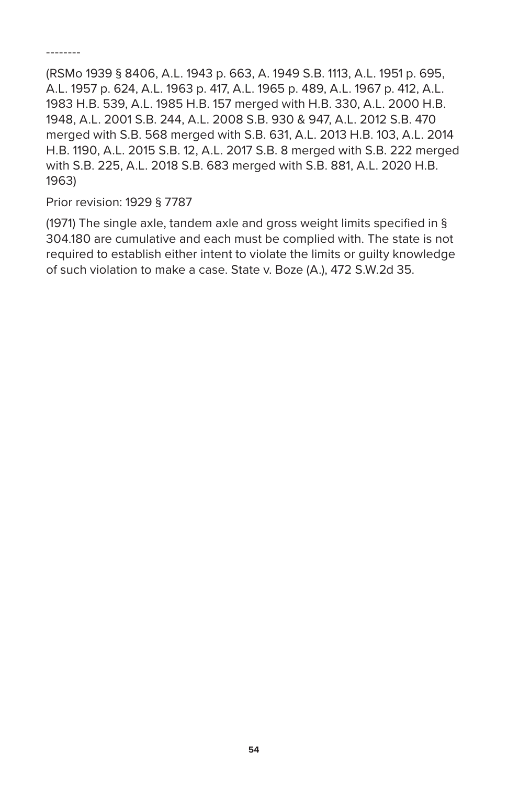--------

(RSMo 1939 § 8406, A.L. 1943 p. 663, A. 1949 S.B. 1113, A.L. 1951 p. 695, A.L. 1957 p. 624, A.L. 1963 p. 417, A.L. 1965 p. 489, A.L. 1967 p. 412, A.L. 1983 H.B. 539, A.L. 1985 H.B. 157 merged with H.B. 330, A.L. 2000 H.B. 1948, A.L. 2001 S.B. 244, A.L. 2008 S.B. 930 & 947, A.L. 2012 S.B. 470 merged with S.B. 568 merged with S.B. 631, A.L. 2013 H.B. 103, A.L. 2014 H.B. 1190, A.L. 2015 S.B. 12, A.L. 2017 S.B. 8 merged with S.B. 222 merged with S.B. 225, A.L. 2018 S.B. 683 merged with S.B. 881, A.L. 2020 H.B. 1963)

Prior revision: 1929 § 7787

(1971) The single axle, tandem axle and gross weight limits specified in § 304.180 are cumulative and each must be complied with. The state is not required to establish either intent to violate the limits or guilty knowledge of such violation to make a case. State v. Boze (A.), 472 S.W.2d 35.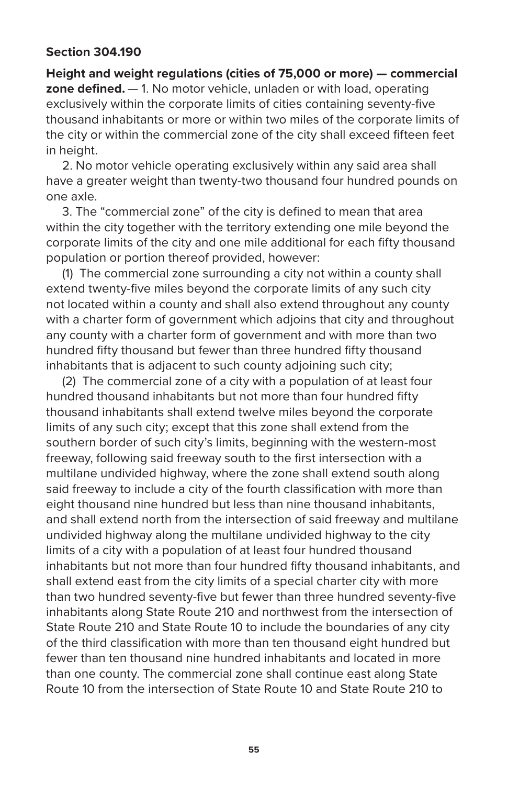## **Section 304.190**

**Height and weight regulations (cities of 75,000 or more) — commercial zone defined.** — 1. No motor vehicle, unladen or with load, operating exclusively within the corporate limits of cities containing seventy-five thousand inhabitants or more or within two miles of the corporate limits of the city or within the commercial zone of the city shall exceed fifteen feet in height.

 2. No motor vehicle operating exclusively within any said area shall have a greater weight than twenty-two thousand four hundred pounds on one axle.

 3. The "commercial zone" of the city is defined to mean that area within the city together with the territory extending one mile beyond the corporate limits of the city and one mile additional for each fifty thousand population or portion thereof provided, however:

 (1) The commercial zone surrounding a city not within a county shall extend twenty-five miles beyond the corporate limits of any such city not located within a county and shall also extend throughout any county with a charter form of government which adjoins that city and throughout any county with a charter form of government and with more than two hundred fifty thousand but fewer than three hundred fifty thousand inhabitants that is adjacent to such county adjoining such city;

 (2) The commercial zone of a city with a population of at least four hundred thousand inhabitants but not more than four hundred fifty thousand inhabitants shall extend twelve miles beyond the corporate limits of any such city; except that this zone shall extend from the southern border of such city's limits, beginning with the western-most freeway, following said freeway south to the first intersection with a multilane undivided highway, where the zone shall extend south along said freeway to include a city of the fourth classification with more than eight thousand nine hundred but less than nine thousand inhabitants, and shall extend north from the intersection of said freeway and multilane undivided highway along the multilane undivided highway to the city limits of a city with a population of at least four hundred thousand inhabitants but not more than four hundred fifty thousand inhabitants, and shall extend east from the city limits of a special charter city with more than two hundred seventy-five but fewer than three hundred seventy-five inhabitants along State Route 210 and northwest from the intersection of State Route 210 and State Route 10 to include the boundaries of any city of the third classification with more than ten thousand eight hundred but fewer than ten thousand nine hundred inhabitants and located in more than one county. The commercial zone shall continue east along State Route 10 from the intersection of State Route 10 and State Route 210 to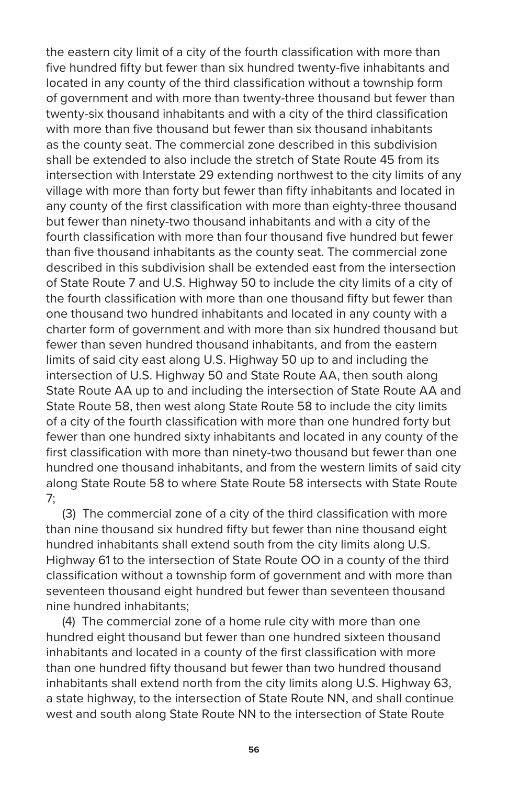the eastern city limit of a city of the fourth classification with more than five hundred fifty but fewer than six hundred twenty-five inhabitants and located in any county of the third classification without a township form of government and with more than twenty-three thousand but fewer than twenty-six thousand inhabitants and with a city of the third classification with more than five thousand but fewer than six thousand inhabitants as the county seat. The commercial zone described in this subdivision shall be extended to also include the stretch of State Route 45 from its intersection with Interstate 29 extending northwest to the city limits of any village with more than forty but fewer than fifty inhabitants and located in any county of the first classification with more than eighty-three thousand but fewer than ninety-two thousand inhabitants and with a city of the fourth classification with more than four thousand five hundred but fewer than five thousand inhabitants as the county seat. The commercial zone described in this subdivision shall be extended east from the intersection of State Route 7 and U.S. Highway 50 to include the city limits of a city of the fourth classification with more than one thousand fifty but fewer than one thousand two hundred inhabitants and located in any county with a charter form of government and with more than six hundred thousand but fewer than seven hundred thousand inhabitants, and from the eastern limits of said city east along U.S. Highway 50 up to and including the intersection of U.S. Highway 50 and State Route AA, then south along State Route AA up to and including the intersection of State Route AA and State Route 58, then west along State Route 58 to include the city limits of a city of the fourth classification with more than one hundred forty but fewer than one hundred sixty inhabitants and located in any county of the first classification with more than ninety-two thousand but fewer than one hundred one thousand inhabitants, and from the western limits of said city along State Route 58 to where State Route 58 intersects with State Route 7;

 (3) The commercial zone of a city of the third classification with more than nine thousand six hundred fifty but fewer than nine thousand eight hundred inhabitants shall extend south from the city limits along U.S. Highway 61 to the intersection of State Route OO in a county of the third classification without a township form of government and with more than seventeen thousand eight hundred but fewer than seventeen thousand nine hundred inhabitants;

 (4) The commercial zone of a home rule city with more than one hundred eight thousand but fewer than one hundred sixteen thousand inhabitants and located in a county of the first classification with more than one hundred fifty thousand but fewer than two hundred thousand inhabitants shall extend north from the city limits along U.S. Highway 63, a state highway, to the intersection of State Route NN, and shall continue west and south along State Route NN to the intersection of State Route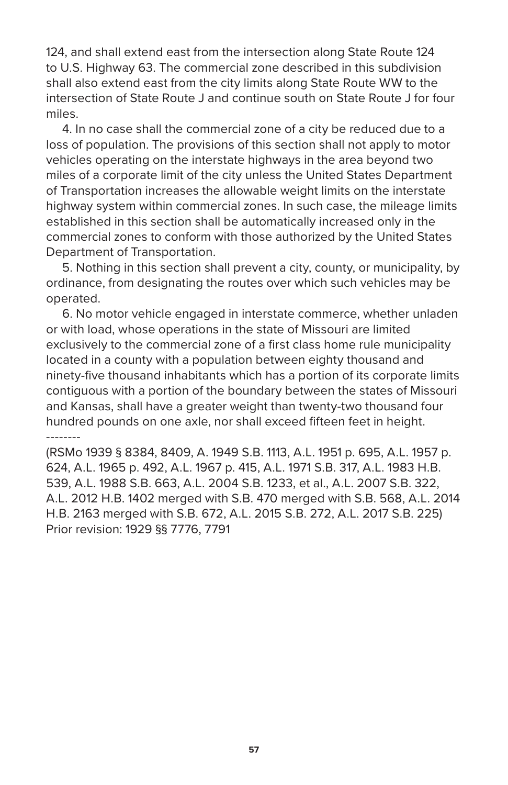124, and shall extend east from the intersection along State Route 124 to U.S. Highway 63. The commercial zone described in this subdivision shall also extend east from the city limits along State Route WW to the intersection of State Route J and continue south on State Route J for four miles.

 4. In no case shall the commercial zone of a city be reduced due to a loss of population. The provisions of this section shall not apply to motor vehicles operating on the interstate highways in the area beyond two miles of a corporate limit of the city unless the United States Department of Transportation increases the allowable weight limits on the interstate highway system within commercial zones. In such case, the mileage limits established in this section shall be automatically increased only in the commercial zones to conform with those authorized by the United States Department of Transportation.

 5. Nothing in this section shall prevent a city, county, or municipality, by ordinance, from designating the routes over which such vehicles may be operated.

 6. No motor vehicle engaged in interstate commerce, whether unladen or with load, whose operations in the state of Missouri are limited exclusively to the commercial zone of a first class home rule municipality located in a county with a population between eighty thousand and ninety-five thousand inhabitants which has a portion of its corporate limits contiguous with a portion of the boundary between the states of Missouri and Kansas, shall have a greater weight than twenty-two thousand four hundred pounds on one axle, nor shall exceed fifteen feet in height. --------

(RSMo 1939 § 8384, 8409, A. 1949 S.B. 1113, A.L. 1951 p. 695, A.L. 1957 p. 624, A.L. 1965 p. 492, A.L. 1967 p. 415, A.L. 1971 S.B. 317, A.L. 1983 H.B. 539, A.L. 1988 S.B. 663, A.L. 2004 S.B. 1233, et al., A.L. 2007 S.B. 322, A.L. 2012 H.B. 1402 merged with S.B. 470 merged with S.B. 568, A.L. 2014 H.B. 2163 merged with S.B. 672, A.L. 2015 S.B. 272, A.L. 2017 S.B. 225) Prior revision: 1929 §§ 7776, 7791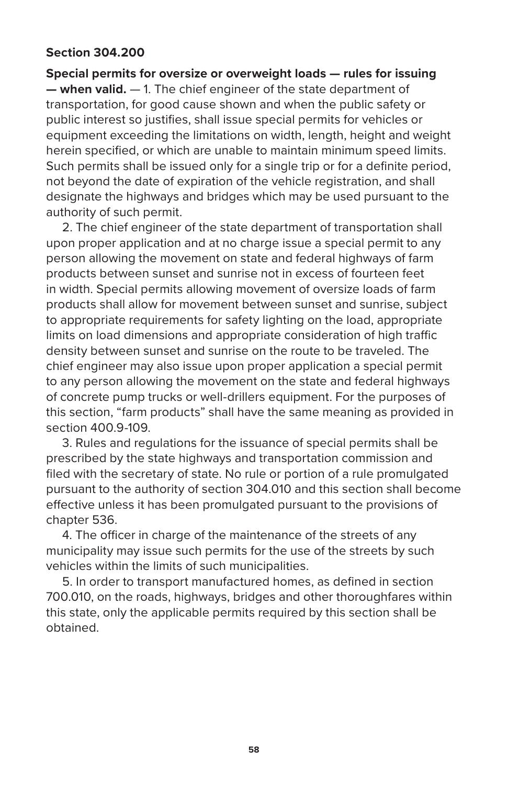## **Section 304.200**

**Special permits for oversize or overweight loads — rules for issuing — when valid.** — 1. The chief engineer of the state department of transportation, for good cause shown and when the public safety or public interest so justifies, shall issue special permits for vehicles or equipment exceeding the limitations on width, length, height and weight herein specified, or which are unable to maintain minimum speed limits. Such permits shall be issued only for a single trip or for a definite period, not beyond the date of expiration of the vehicle registration, and shall designate the highways and bridges which may be used pursuant to the authority of such permit.

 2. The chief engineer of the state department of transportation shall upon proper application and at no charge issue a special permit to any person allowing the movement on state and federal highways of farm products between sunset and sunrise not in excess of fourteen feet in width. Special permits allowing movement of oversize loads of farm products shall allow for movement between sunset and sunrise, subject to appropriate requirements for safety lighting on the load, appropriate limits on load dimensions and appropriate consideration of high traffic density between sunset and sunrise on the route to be traveled. The chief engineer may also issue upon proper application a special permit to any person allowing the movement on the state and federal highways of concrete pump trucks or well-drillers equipment. For the purposes of this section, "farm products" shall have the same meaning as provided in section 400.9-109.

 3. Rules and regulations for the issuance of special permits shall be prescribed by the state highways and transportation commission and filed with the secretary of state. No rule or portion of a rule promulgated pursuant to the authority of section 304.010 and this section shall become effective unless it has been promulgated pursuant to the provisions of chapter 536.

 4. The officer in charge of the maintenance of the streets of any municipality may issue such permits for the use of the streets by such vehicles within the limits of such municipalities.

 5. In order to transport manufactured homes, as defined in section 700.010, on the roads, highways, bridges and other thoroughfares within this state, only the applicable permits required by this section shall be obtained.